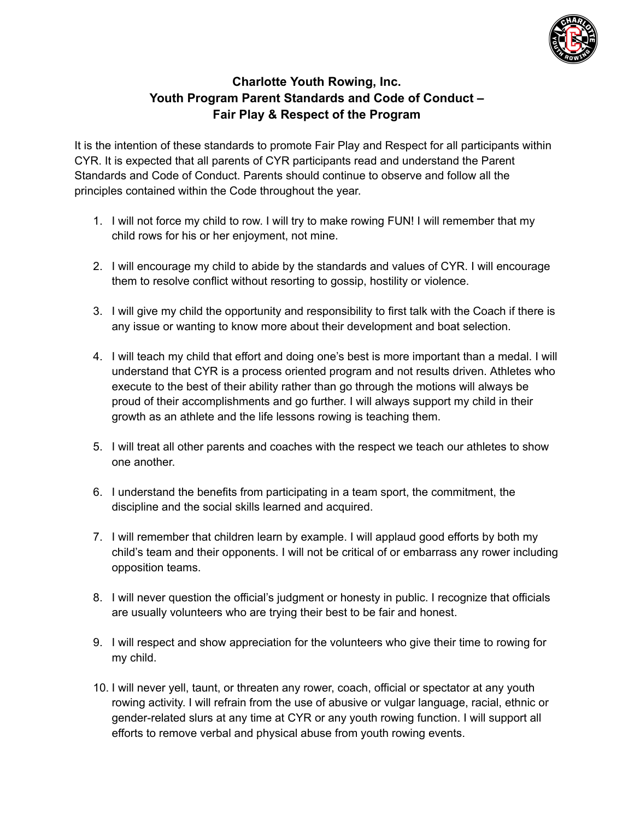

## **Charlotte Youth Rowing, Inc. Youth Program Parent Standards and Code of Conduct – Fair Play & Respect of the Program**

It is the intention of these standards to promote Fair Play and Respect for all participants within CYR. It is expected that all parents of CYR participants read and understand the Parent Standards and Code of Conduct. Parents should continue to observe and follow all the principles contained within the Code throughout the year.

- 1. I will not force my child to row. I will try to make rowing FUN! I will remember that my child rows for his or her enjoyment, not mine.
- 2. I will encourage my child to abide by the standards and values of CYR. I will encourage them to resolve conflict without resorting to gossip, hostility or violence.
- 3. I will give my child the opportunity and responsibility to first talk with the Coach if there is any issue or wanting to know more about their development and boat selection.
- 4. I will teach my child that effort and doing one's best is more important than a medal. I will understand that CYR is a process oriented program and not results driven. Athletes who execute to the best of their ability rather than go through the motions will always be proud of their accomplishments and go further. I will always support my child in their growth as an athlete and the life lessons rowing is teaching them.
- 5. I will treat all other parents and coaches with the respect we teach our athletes to show one another.
- 6. I understand the benefits from participating in a team sport, the commitment, the discipline and the social skills learned and acquired.
- 7. I will remember that children learn by example. I will applaud good efforts by both my child's team and their opponents. I will not be critical of or embarrass any rower including opposition teams.
- 8. I will never question the official's judgment or honesty in public. I recognize that officials are usually volunteers who are trying their best to be fair and honest.
- 9. I will respect and show appreciation for the volunteers who give their time to rowing for my child.
- 10. I will never yell, taunt, or threaten any rower, coach, official or spectator at any youth rowing activity. I will refrain from the use of abusive or vulgar language, racial, ethnic or gender-related slurs at any time at CYR or any youth rowing function. I will support all efforts to remove verbal and physical abuse from youth rowing events.